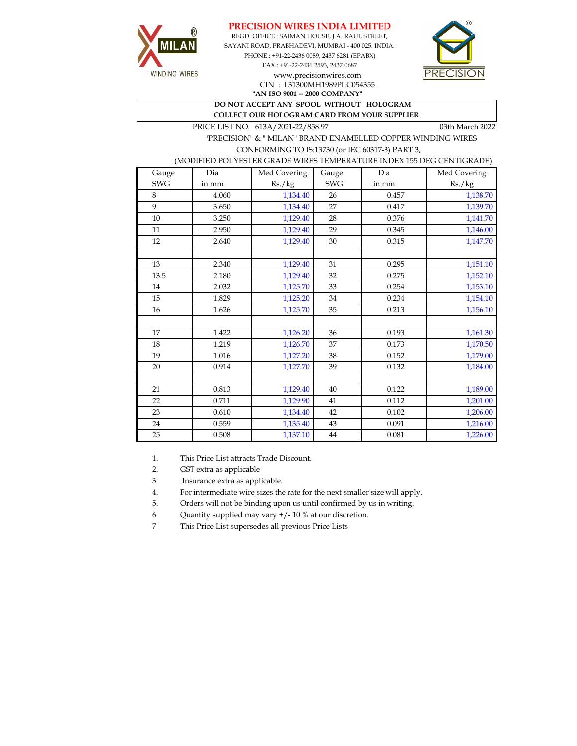





**"AN ISO 9001 -- 2000 COMPANY"** CIN : L31300MH1989PLC054355

**DO NOT ACCEPT ANY SPOOL WITHOUT HOLOGRAM COLLECT OUR HOLOGRAM CARD FROM YOUR SUPPLIER** 

PRICE LIST NO. 613A/2021-22/858.97 03th March 2022

WINDING WIRES

## "PRECISION" & " MILAN" BRAND ENAMELLED COPPER WINDING WIRES CONFORMING TO IS:13730 (or IEC 60317-3) PART 3,

(MODIFIED POLYESTER GRADE WIRES TEMPERATURE INDEX 155 DEG CENTIGRADE)

| Gauge      | Dia   | Med Covering | Gauge      | Dia   | Med Covering |
|------------|-------|--------------|------------|-------|--------------|
| <b>SWG</b> | in mm | Rs./kg       | <b>SWG</b> | in mm | Rs./kg       |
| 8          | 4.060 | 1,134.40     | 26         | 0.457 | 1,138.70     |
| 9          | 3.650 | 1,134.40     | 27         | 0.417 | 1,139.70     |
| 10         | 3.250 | 1,129.40     | 28         | 0.376 | 1,141.70     |
| 11         | 2.950 | 1,129.40     | 29         | 0.345 | 1,146.00     |
| 12         | 2.640 | 1,129.40     | 30         | 0.315 | 1,147.70     |
|            |       |              |            |       |              |
| 13         | 2.340 | 1,129.40     | 31         | 0.295 | 1,151.10     |
| 13.5       | 2.180 | 1,129.40     | 32         | 0.275 | 1,152.10     |
| 14         | 2.032 | 1,125.70     | 33         | 0.254 | 1,153.10     |
| 15         | 1.829 | 1,125.20     | $34\,$     | 0.234 | 1,154.10     |
| 16         | 1.626 | 1,125.70     | 35         | 0.213 | 1,156.10     |
|            |       |              |            |       |              |
| 17         | 1.422 | 1,126.20     | 36         | 0.193 | 1,161.30     |
| 18         | 1.219 | 1,126.70     | 37         | 0.173 | 1,170.50     |
| 19         | 1.016 | 1,127.20     | 38         | 0.152 | 1,179.00     |
| 20         | 0.914 | 1,127.70     | 39         | 0.132 | 1,184.00     |
|            |       |              |            |       |              |
| 21         | 0.813 | 1,129.40     | 40         | 0.122 | 1,189.00     |
| 22         | 0.711 | 1,129.90     | 41         | 0.112 | 1,201.00     |
| 23         | 0.610 | 1,134.40     | 42         | 0.102 | 1,206.00     |
| 24         | 0.559 | 1,135.40     | 43         | 0.091 | 1,216.00     |
| 25         | 0.508 | 1,137.10     | $44\,$     | 0.081 | 1,226.00     |

1. This Price List attracts Trade Discount.

2. GST extra as applicable

3 Insurance extra as applicable.

4. For intermediate wire sizes the rate for the next smaller size will apply.

5. Orders will not be binding upon us until confirmed by us in writing.

6 Quantity supplied may vary +/- 10 % at our discretion.

7 This Price List supersedes all previous Price Lists